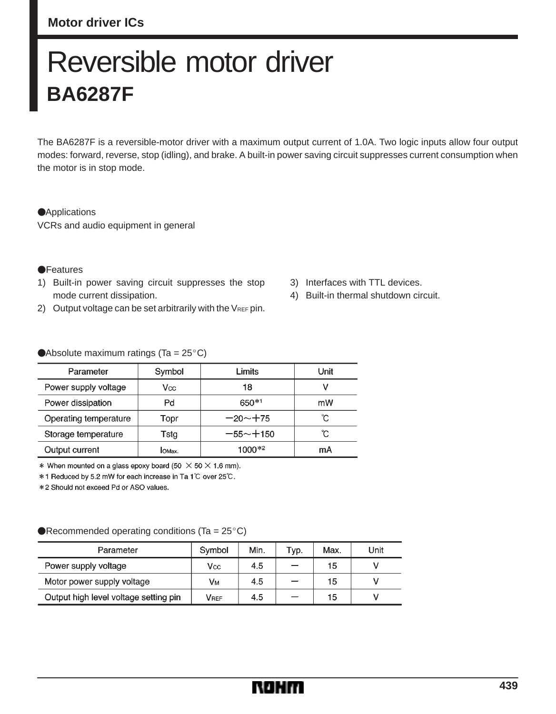### **Motor driver ICs**

# Reversible motor driver **BA6287F**

The BA6287F is a reversible-motor driver with a maximum output current of 1.0A. Two logic inputs allow four output modes: forward, reverse, stop (idling), and brake. A built-in power saving circuit suppresses current consumption when the motor is in stop mode.

**Applications** 

VCRs and audio equipment in general

#### **OF**Features

- 1) Built-in power saving circuit suppresses the stop mode current dissipation.
- 2) Output voltage can be set arbitrarily with the  $V_{REF}$  pin.
- 3) Interfaces with TTL devices.
- 4) Built-in thermal shutdown circuit.

| Absolute maximum ratings (Ta = $25^{\circ}$ C) |  |  |
|------------------------------------------------|--|--|
|                                                |  |  |

| Parameter             | Symbol | Limits         | Unit |
|-----------------------|--------|----------------|------|
| Power supply voltage  | Vcc    | 18             | ν    |
| Power dissipation     | Pd     |                | mW   |
| Operating temperature | Topr   | $-20 \sim +75$ | °C   |
| Storage temperature   | Tstg   | $-55 - +150$   | °C   |
| Output current        | IOMax. | 1000*2         | mA   |

\* When mounted on a glass epoxy board (50  $\times$  50  $\times$  1.6 mm).

\*1 Reduced by 5.2 mW for each increase in Ta 1 C over 25 C.

\*2 Should not exceed Pd or ASO values.

Recommended operating conditions (Ta =  $25^{\circ}$ C)

| Parameter                             | Symbol | Min. | Typ. | Max. | Unit |
|---------------------------------------|--------|------|------|------|------|
| Power supply voltage                  | Vcc    | 4.5  |      | 15   |      |
| Motor power supply voltage            | Vм     | 4.5  |      | 15   |      |
| Output high level voltage setting pin | Vref   | 4.5  |      | 15   |      |

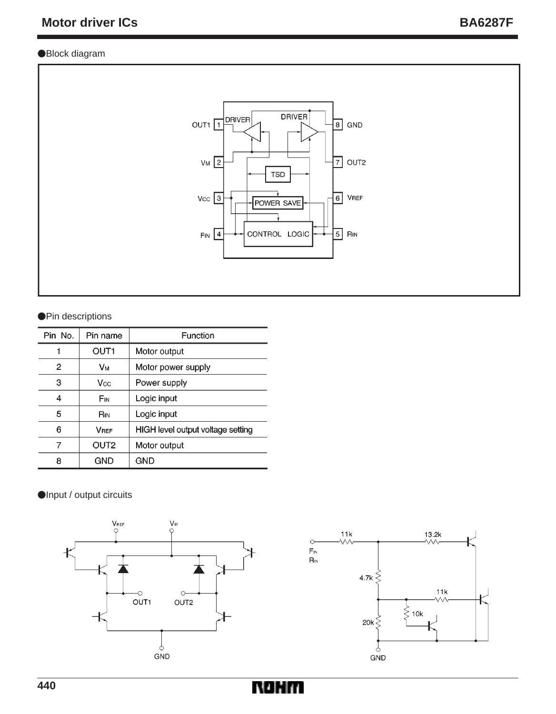#### Block diagram



#### **Pin descriptions**

| Pin No. | Pin name         | Function                          |  |  |  |
|---------|------------------|-----------------------------------|--|--|--|
|         | OUT <sub>1</sub> | Motor output                      |  |  |  |
| 2       | Vм               | Motor power supply                |  |  |  |
| 3       | Vcc              | Power supply                      |  |  |  |
| 4       | FIN              | Logic input                       |  |  |  |
| 5       | Rın              | Logic input                       |  |  |  |
| 6       | <b>VRFF</b>      | HIGH level output voltage setting |  |  |  |
| 7       | OUT <sub>2</sub> | Motor output                      |  |  |  |
| 8       | GND              | <b>GND</b>                        |  |  |  |

**Olnput / output circuits** 





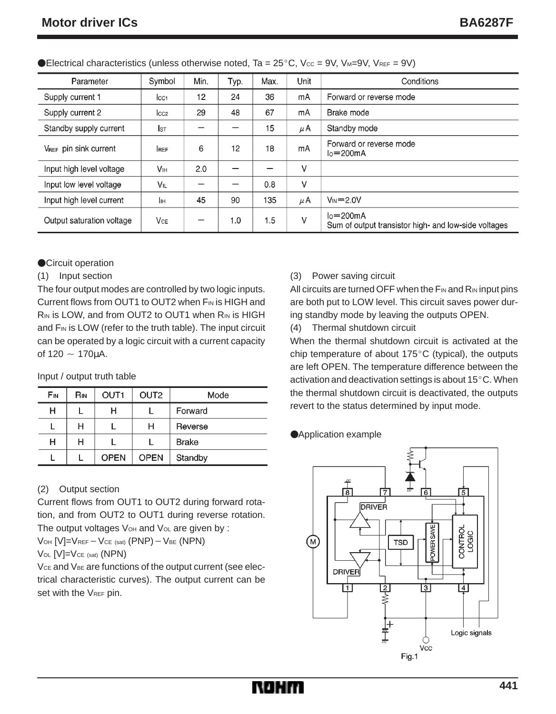| Parameter                         | Symbol           | Min. | Typ. | Max. | Unit | Conditions                                                           |
|-----------------------------------|------------------|------|------|------|------|----------------------------------------------------------------------|
| Supply current 1                  | Icc1             | 12   | 24   | 36   | mA   | Forward or reverse mode                                              |
| Supply current 2                  | Icc <sub>2</sub> | 29   | 48   | 67   | mA   | Brake mode                                                           |
| Standby supply current            | Isт              |      |      | 15   | μΑ   | Standby mode                                                         |
| V <sub>REF</sub> pin sink current | <b>REF</b>       | 6    | 12   | 18   | mA   | Forward or reverse mode<br>$lo = 200mA$                              |
| Input high level voltage          | V <sub>IH</sub>  | 2.0  |      |      | v    |                                                                      |
| Input low level voltage           | VIL              |      |      | 0.8  | V    |                                                                      |
| Input high level current          | Iін              | 45   | 90   | 135  | μA   | $V_{\text{IN}} = 2.0 V$                                              |
| Output saturation voltage         | V <sub>CE</sub>  |      | 1.0  | 1.5  | V    | $lo = 200mA$<br>Sum of output transistor high- and low-side voltages |

● Electrical characteristics (unless otherwise noted, Ta =  $25^{\circ}$ C, Vcc = 9V, V<sub>M</sub>=9V, V<sub>REF</sub> = 9V)

#### **OCircuit operation**

#### (1) Input section

The four output modes are controlled by two logic inputs. Current flows from OUT1 to OUT2 when F<sub>IN</sub> is HIGH and R<sub>IN</sub> is LOW, and from OUT2 to OUT1 when R<sub>IN</sub> is HIGH and F<sub>IN</sub> is LOW (refer to the truth table). The input circuit can be operated by a logic circuit with a current capacity<br>of 120 ~ 170μA. of  $120 \sim 170 \mu$ A.

#### Input / output truth table

| FIN | Rın | OUT <sub>1</sub> | OUT <sub>2</sub> | Mode    |
|-----|-----|------------------|------------------|---------|
| н   |     | н                |                  | Forward |
|     | н   |                  | н                | Reverse |
| н   | н   |                  |                  | Brake   |
|     |     | <b>OPEN</b>      | <b>OPEN</b>      | Standby |

#### (2) Output section

Current flows from OUT1 to OUT2 during forward rotation, and from OUT2 to OUT1 during reverse rotation. The output voltages V<sub>OH</sub> and V<sub>OL</sub> are given by :

 $V$ OH  $[V]=V$ REF –  $V$ CE (sat)  $(PNP)$  –  $V_{BE}$   $(NPN)$ 

$$
V_{OL} [V]{=}V_{CE} \; \text{(sat)} \; (NPN)
$$

V<sub>CE</sub> and V<sub>BE</sub> are functions of the output current (see electrical characteristic curves). The output current can be set with the VREF pin.

#### (3) Power saving circuit

All circuits are turned OFF when the  $F_{IN}$  and  $R_{IN}$  input pins are both put to LOW level. This circuit saves power during standby mode by leaving the outputs OPEN.

(4) Thermal shutdown circuit

When the thermal shutdown circuit is activated at the chip temperature of about  $175^{\circ}$ C (typical), the outputs are left OPEN. The temperature difference between the activation and deactivation settings is about 15°C. When the thermal shutdown circuit is deactivated, the outputs revert to the status determined by input mode.

Application example



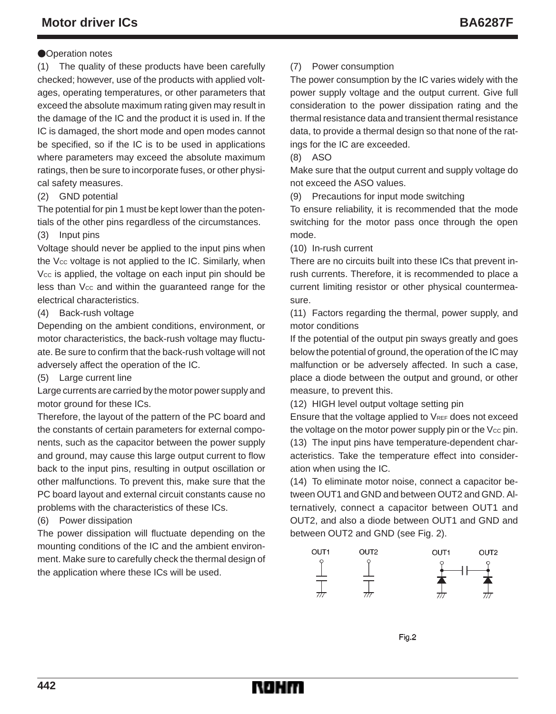#### **Operation notes**

(1) The quality of these products have been carefully checked; however, use of the products with applied voltages, operating temperatures, or other parameters that exceed the absolute maximum rating given may result in the damage of the IC and the product it is used in. If the IC is damaged, the short mode and open modes cannot be specified, so if the IC is to be used in applications where parameters may exceed the absolute maximum ratings, then be sure to incorporate fuses, or other physical safety measures.

(2) GND potential

The potential for pin 1 must be kept lower than the potentials of the other pins regardless of the circumstances.

## (3) Input pins

Voltage should never be applied to the input pins when the V<sub>cc</sub> voltage is not applied to the IC. Similarly, when V<sub>cc</sub> is applied, the voltage on each input pin should be less than V<sub>cc</sub> and within the quaranteed range for the electrical characteristics.

(4) Back-rush voltage

Depending on the ambient conditions, environment, or motor characteristics, the back-rush voltage may fluctuate. Be sure to confirm that the back-rush voltage will not adversely affect the operation of the IC.

(5) Large current line

Large currents are carried by the motor power supply and motor ground for these ICs.

Therefore, the layout of the pattern of the PC board and the constants of certain parameters for external components, such as the capacitor between the power supply and ground, may cause this large output current to flow back to the input pins, resulting in output oscillation or other malfunctions. To prevent this, make sure that the PC board layout and external circuit constants cause no problems with the characteristics of these ICs.

(6) Power dissipation

The power dissipation will fluctuate depending on the mounting conditions of the IC and the ambient environment. Make sure to carefully check the thermal design of the application where these ICs will be used.

(7) Power consumption

The power consumption by the IC varies widely with the power supply voltage and the output current. Give full consideration to the power dissipation rating and the thermal resistance data and transient thermal resistance data, to provide a thermal design so that none of the ratings for the IC are exceeded.

(8) ASO

Make sure that the output current and supply voltage do not exceed the ASO values.

(9) Precautions for input mode switching

To ensure reliability, it is recommended that the mode switching for the motor pass once through the open mode.

(10) In-rush current

There are no circuits built into these ICs that prevent inrush currents. Therefore, it is recommended to place a current limiting resistor or other physical countermeasure.

(11) Factors regarding the thermal, power supply, and motor conditions

If the potential of the output pin sways greatly and goes below the potential of ground, the operation of the IC may malfunction or be adversely affected. In such a case, place a diode between the output and ground, or other measure, to prevent this.

(12) HIGH level output voltage setting pin

Ensure that the voltage applied to VREF does not exceed the voltage on the motor power supply pin or the  $V_{CC}$  pin. (13) The input pins have temperature-dependent characteristics. Take the temperature effect into consideration when using the IC.

(14) To eliminate motor noise, connect a capacitor between OUT1 and GND and between OUT2 and GND. Alternatively, connect a capacitor between OUT1 and OUT2, and also a diode between OUT1 and GND and between OUT2 and GND (see Fig. 2).



Fig.2

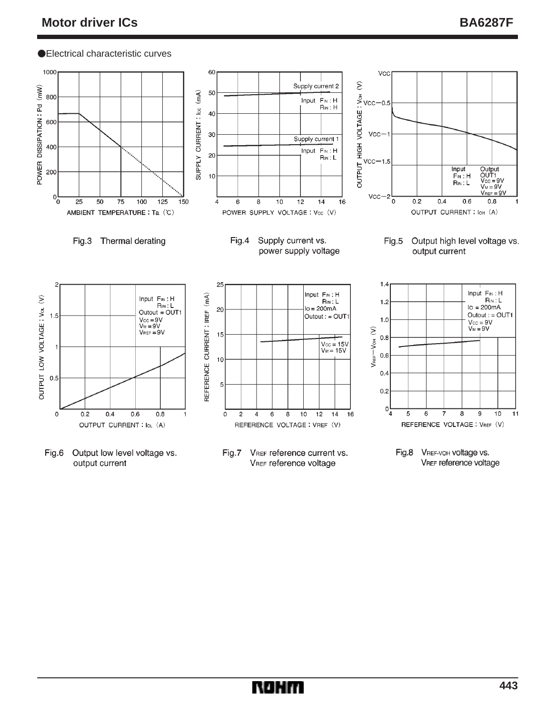





Fig.7 VREF reference current vs. VREF reference voltage

Fig.8 VREF-VOH VOItage vs. VREF reference voltage